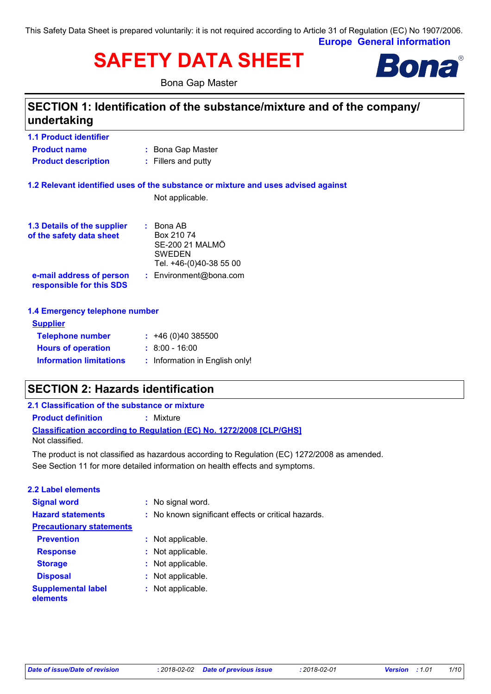**Europe General information** This Safety Data Sheet is prepared voluntarily: it is not required according to Article 31 of Regulation (EC) No 1907/2006.

# **SAFETY DATA SHEET B**

Bona Gap Master



# **SECTION 1: Identification of the substance/mixture and of the company/ undertaking**

| <b>1.1 Product identifier</b>                        |                                                                                   |
|------------------------------------------------------|-----------------------------------------------------------------------------------|
| <b>Product name</b>                                  | : Bona Gap Master                                                                 |
| <b>Product description</b>                           | : Fillers and putty                                                               |
|                                                      | 1.2 Relevant identified uses of the substance or mixture and uses advised against |
|                                                      | Not applicable.                                                                   |
| 1.3 Details of the supplier                          | $\therefore$ Bona AB                                                              |
| of the safety data sheet                             | Box 210 74<br>SE-200 21 MALMO                                                     |
|                                                      | <b>SWEDEN</b>                                                                     |
|                                                      | Tel. +46-(0)40-38 55 00                                                           |
| e-mail address of person<br>responsible for this SDS | : Environment@bona.com                                                            |
| 1.4 Emergency telephone number                       |                                                                                   |
| <b>Supplier</b>                                      |                                                                                   |
| <b>Telephone number</b>                              | $: +46(0)40385500$                                                                |

# **SECTION 2: Hazards identification**

**Information limitations**

**Hours of operation :**

### **Classification according to Regulation (EC) No. 1272/2008 [CLP/GHS] 2.1 Classification of the substance or mixture Product definition :** Mixture Not classified.

 $\cdot$  8:00 - 16:00

See Section 11 for more detailed information on health effects and symptoms. The product is not classified as hazardous according to Regulation (EC) 1272/2008 as amended.

**:** Information in English only!

| 2.2 Label elements                    |                                                     |
|---------------------------------------|-----------------------------------------------------|
| <b>Signal word</b>                    | : No signal word.                                   |
| <b>Hazard statements</b>              | : No known significant effects or critical hazards. |
| <b>Precautionary statements</b>       |                                                     |
| <b>Prevention</b>                     | : Not applicable.                                   |
| <b>Response</b>                       | : Not applicable.                                   |
| <b>Storage</b>                        | : Not applicable.                                   |
| <b>Disposal</b>                       | : Not applicable.                                   |
| <b>Supplemental label</b><br>elements | : Not applicable.                                   |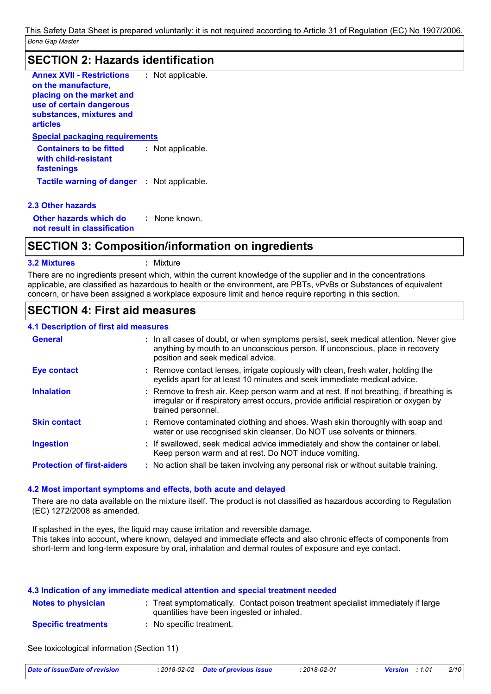# **SECTION 2: Hazards identification**

| <b>Annex XVII - Restrictions</b><br>on the manufacture,<br>placing on the market and<br>use of certain dangerous<br>substances, mixtures and<br><b>articles</b> | : Not applicable. |
|-----------------------------------------------------------------------------------------------------------------------------------------------------------------|-------------------|
| Special packaging requirements                                                                                                                                  |                   |
| <b>Containers to be fitted</b><br>with child-resistant<br>fastenings                                                                                            | : Not applicable. |
| <b>Tactile warning of danger : Not applicable.</b>                                                                                                              |                   |
| 2.3 Other hazards                                                                                                                                               |                   |

**Other hazards which do not result in classification :** None known.

# **SECTION 3: Composition/information on ingredients**

#### **3.2 Mixtures :** Mixture

There are no ingredients present which, within the current knowledge of the supplier and in the concentrations applicable, are classified as hazardous to health or the environment, are PBTs, vPvBs or Substances of equivalent concern, or have been assigned a workplace exposure limit and hence require reporting in this section.

# **SECTION 4: First aid measures**

#### **4.1 Description of first aid measures**

| <b>General</b>                    | : In all cases of doubt, or when symptoms persist, seek medical attention. Never give<br>anything by mouth to an unconscious person. If unconscious, place in recovery<br>position and seek medical advice. |
|-----------------------------------|-------------------------------------------------------------------------------------------------------------------------------------------------------------------------------------------------------------|
| <b>Eye contact</b>                | : Remove contact lenses, irrigate copiously with clean, fresh water, holding the<br>eyelids apart for at least 10 minutes and seek immediate medical advice.                                                |
| <b>Inhalation</b>                 | : Remove to fresh air. Keep person warm and at rest. If not breathing, if breathing is<br>irregular or if respiratory arrest occurs, provide artificial respiration or oxygen by<br>trained personnel.      |
| <b>Skin contact</b>               | : Remove contaminated clothing and shoes. Wash skin thoroughly with soap and<br>water or use recognised skin cleanser. Do NOT use solvents or thinners.                                                     |
| <b>Ingestion</b>                  | : If swallowed, seek medical advice immediately and show the container or label.<br>Keep person warm and at rest. Do NOT induce vomiting.                                                                   |
| <b>Protection of first-aiders</b> | : No action shall be taken involving any personal risk or without suitable training.                                                                                                                        |

#### **4.2 Most important symptoms and effects, both acute and delayed**

There are no data available on the mixture itself. The product is not classified as hazardous according to Regulation (EC) 1272/2008 as amended.

If splashed in the eyes, the liquid may cause irritation and reversible damage. This takes into account, where known, delayed and immediate effects and also chronic effects of components from short-term and long-term exposure by oral, inhalation and dermal routes of exposure and eye contact.

#### **4.3 Indication of any immediate medical attention and special treatment needed**

| <b>Notes to physician</b>  | Treat symptomatically. Contact poison treatment specialist immediately if large<br>quantities have been ingested or inhaled. |
|----------------------------|------------------------------------------------------------------------------------------------------------------------------|
| <b>Specific treatments</b> | No specific treatment.                                                                                                       |

See toxicological information (Section 11)

| Date of issue/Date of revision | : 2018-02-02 Date of previous issue | : 2018-02-01 | <b>Version</b> : 1.01 | 2/10 |
|--------------------------------|-------------------------------------|--------------|-----------------------|------|
|--------------------------------|-------------------------------------|--------------|-----------------------|------|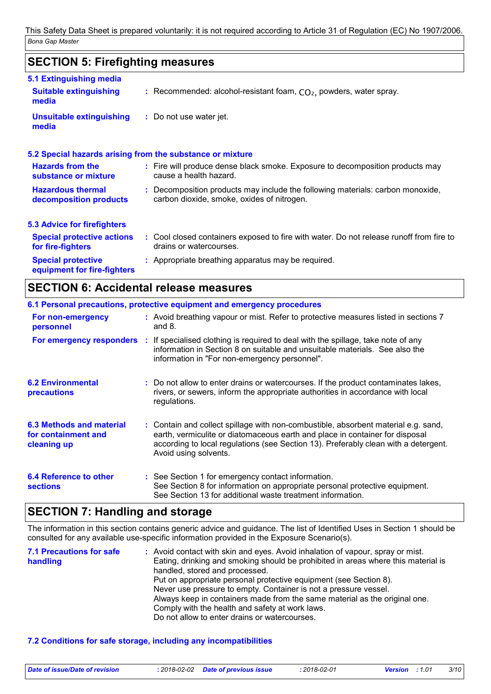# **SECTION 5: Firefighting measures**

| 5.1 Extinguishing media                                  |                                                                                                                              |
|----------------------------------------------------------|------------------------------------------------------------------------------------------------------------------------------|
| <b>Suitable extinguishing</b><br>media                   | : Recommended: alcohol-resistant foam, $CO2$ , powders, water spray.                                                         |
| <b>Unsuitable extinguishing</b><br>media                 | : Do not use water jet.                                                                                                      |
|                                                          | 5.2 Special hazards arising from the substance or mixture                                                                    |
| <b>Hazards from the</b><br>substance or mixture          | : Fire will produce dense black smoke. Exposure to decomposition products may<br>cause a health hazard.                      |
| <b>Hazardous thermal</b><br>decomposition products       | : Decomposition products may include the following materials: carbon monoxide,<br>carbon dioxide, smoke, oxides of nitrogen. |
| <b>5.3 Advice for firefighters</b>                       |                                                                                                                              |
| <b>Special protective actions</b><br>for fire-fighters   | : Cool closed containers exposed to fire with water. Do not release runoff from fire to<br>drains or watercourses.           |
| <b>Special protective</b><br>equipment for fire-fighters | : Appropriate breathing apparatus may be required.                                                                           |

# **SECTION 6: Accidental release measures**

|                                                                | 6.1 Personal precautions, protective equipment and emergency procedures                                                                                                                                                                                                            |
|----------------------------------------------------------------|------------------------------------------------------------------------------------------------------------------------------------------------------------------------------------------------------------------------------------------------------------------------------------|
| For non-emergency<br>personnel                                 | : Avoid breathing vapour or mist. Refer to protective measures listed in sections 7<br>and $8.$                                                                                                                                                                                    |
|                                                                | <b>For emergency responders</b> : If specialised clothing is required to deal with the spillage, take note of any<br>information in Section 8 on suitable and unsuitable materials. See also the<br>information in "For non-emergency personnel".                                  |
| <b>6.2 Environmental</b><br><b>precautions</b>                 | : Do not allow to enter drains or watercourses. If the product contaminates lakes,<br>rivers, or sewers, inform the appropriate authorities in accordance with local<br>regulations.                                                                                               |
| 6.3 Methods and material<br>for containment and<br>cleaning up | : Contain and collect spillage with non-combustible, absorbent material e.g. sand,<br>earth, vermiculite or diatomaceous earth and place in container for disposal<br>according to local regulations (see Section 13). Preferably clean with a detergent.<br>Avoid using solvents. |
| 6.4 Reference to other<br><b>sections</b>                      | : See Section 1 for emergency contact information.<br>See Section 8 for information on appropriate personal protective equipment.<br>See Section 13 for additional waste treatment information.                                                                                    |

### **SECTION 7: Handling and storage**

The information in this section contains generic advice and guidance. The list of Identified Uses in Section 1 should be consulted for any available use-specific information provided in the Exposure Scenario(s).

| <b>7.1 Precautions for safe</b><br>handling | : Avoid contact with skin and eyes. Avoid inhalation of vapour, spray or mist.<br>Eating, drinking and smoking should be prohibited in areas where this material is |
|---------------------------------------------|---------------------------------------------------------------------------------------------------------------------------------------------------------------------|
|                                             | handled, stored and processed.                                                                                                                                      |
|                                             | Put on appropriate personal protective equipment (see Section 8).                                                                                                   |
|                                             | Never use pressure to empty. Container is not a pressure vessel.                                                                                                    |
|                                             | Always keep in containers made from the same material as the original one.                                                                                          |
|                                             | Comply with the health and safety at work laws.                                                                                                                     |
|                                             | Do not allow to enter drains or watercourses.                                                                                                                       |

#### **7.2 Conditions for safe storage, including any incompatibilities**

| Date of issue/Date of revision | : 2018-02-02 Date of previous issue | : 2018-02-01 | <b>Version</b> : 1.01 | 3/10 |
|--------------------------------|-------------------------------------|--------------|-----------------------|------|
|                                |                                     |              |                       |      |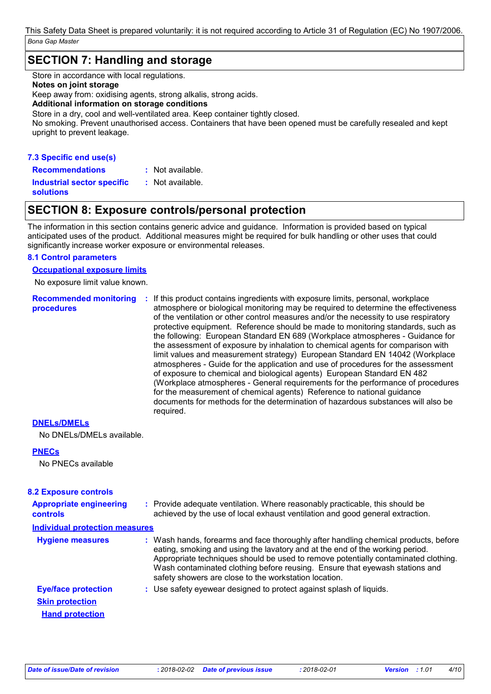# **SECTION 7: Handling and storage**

Store in accordance with local regulations.

#### **Notes on joint storage**

Keep away from: oxidising agents, strong alkalis, strong acids.

**Additional information on storage conditions**

Store in a dry, cool and well-ventilated area. Keep container tightly closed.

No smoking. Prevent unauthorised access. Containers that have been opened must be carefully resealed and kept upright to prevent leakage.

#### **7.3 Specific end use(s)**

**Recommendations :**

: Not available. : Not available.

**Industrial sector specific : solutions**

# **SECTION 8: Exposure controls/personal protection**

The information in this section contains generic advice and guidance. Information is provided based on typical anticipated uses of the product. Additional measures might be required for bulk handling or other uses that could significantly increase worker exposure or environmental releases.

#### **8.1 Control parameters**

#### **Occupational exposure limits**

No exposure limit value known.

Recommended monitoring : If this product contains ingredients with exposure limits, personal, workplace **procedures** atmosphere or biological monitoring may be required to determine the effectiveness of the ventilation or other control measures and/or the necessity to use respiratory protective equipment. Reference should be made to monitoring standards, such as the following: European Standard EN 689 (Workplace atmospheres - Guidance for the assessment of exposure by inhalation to chemical agents for comparison with limit values and measurement strategy) European Standard EN 14042 (Workplace atmospheres - Guide for the application and use of procedures for the assessment of exposure to chemical and biological agents) European Standard EN 482 (Workplace atmospheres - General requirements for the performance of procedures for the measurement of chemical agents) Reference to national guidance documents for methods for the determination of hazardous substances will also be required.

#### **DNELs/DMELs**

No DNELs/DMELs available.

#### **PNECs**

No PNECs available

| <b>8.2 Exposure controls</b>                     |                                                                                                                                                                                                                                                                                                                                                                                                   |
|--------------------------------------------------|---------------------------------------------------------------------------------------------------------------------------------------------------------------------------------------------------------------------------------------------------------------------------------------------------------------------------------------------------------------------------------------------------|
| <b>Appropriate engineering</b><br>controls       | : Provide adequate ventilation. Where reasonably practicable, this should be<br>achieved by the use of local exhaust ventilation and good general extraction.                                                                                                                                                                                                                                     |
| <b>Individual protection measures</b>            |                                                                                                                                                                                                                                                                                                                                                                                                   |
| <b>Hygiene measures</b>                          | : Wash hands, forearms and face thoroughly after handling chemical products, before<br>eating, smoking and using the lavatory and at the end of the working period.<br>Appropriate techniques should be used to remove potentially contaminated clothing.<br>Wash contaminated clothing before reusing. Ensure that eyewash stations and<br>safety showers are close to the workstation location. |
| <b>Eye/face protection</b>                       | : Use safety eyewear designed to protect against splash of liquids.                                                                                                                                                                                                                                                                                                                               |
| <b>Skin protection</b><br><b>Hand protection</b> |                                                                                                                                                                                                                                                                                                                                                                                                   |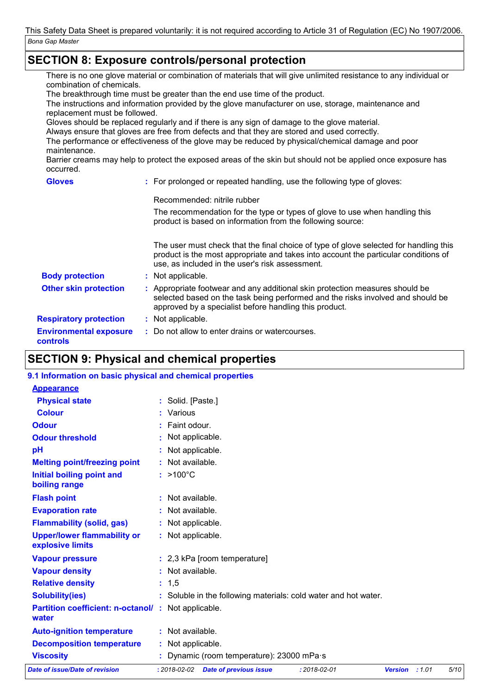# **SECTION 8: Exposure controls/personal protection**

There is no one glove material or combination of materials that will give unlimited resistance to any individual or combination of chemicals.

The breakthrough time must be greater than the end use time of the product.

The instructions and information provided by the glove manufacturer on use, storage, maintenance and replacement must be followed.

Gloves should be replaced regularly and if there is any sign of damage to the glove material.

Always ensure that gloves are free from defects and that they are stored and used correctly.

The performance or effectiveness of the glove may be reduced by physical/chemical damage and poor maintenance.

Barrier creams may help to protect the exposed areas of the skin but should not be applied once exposure has occurred.

| <b>Gloves</b>                             | : For prolonged or repeated handling, use the following type of gloves:                                                                                                                                                         |  |
|-------------------------------------------|---------------------------------------------------------------------------------------------------------------------------------------------------------------------------------------------------------------------------------|--|
|                                           | Recommended: nitrile rubber                                                                                                                                                                                                     |  |
|                                           | The recommendation for the type or types of glove to use when handling this<br>product is based on information from the following source:                                                                                       |  |
|                                           | The user must check that the final choice of type of glove selected for handling this<br>product is the most appropriate and takes into account the particular conditions of<br>use, as included in the user's risk assessment. |  |
| <b>Body protection</b>                    | : Not applicable.                                                                                                                                                                                                               |  |
| <b>Other skin protection</b>              | : Appropriate footwear and any additional skin protection measures should be<br>selected based on the task being performed and the risks involved and should be<br>approved by a specialist before handling this product.       |  |
| <b>Respiratory protection</b>             | : Not applicable.                                                                                                                                                                                                               |  |
| <b>Environmental exposure</b><br>controls | : Do not allow to enter drains or watercourses.                                                                                                                                                                                 |  |
|                                           |                                                                                                                                                                                                                                 |  |

# **SECTION 9: Physical and chemical properties**

| 9.1 Information on basic physical and chemical properties   |                                                                 |                |      |
|-------------------------------------------------------------|-----------------------------------------------------------------|----------------|------|
| <b>Appearance</b>                                           |                                                                 |                |      |
| <b>Physical state</b>                                       | : Solid. [Paste.]                                               |                |      |
| <b>Colour</b>                                               | : Various                                                       |                |      |
| <b>Odour</b>                                                | : Faint odour.                                                  |                |      |
| <b>Odour threshold</b>                                      | : Not applicable.                                               |                |      |
| pH                                                          | : Not applicable.                                               |                |      |
| <b>Melting point/freezing point</b>                         | : Not available.                                                |                |      |
| <b>Initial boiling point and</b><br>boiling range           | $:$ >100 $^{\circ}$ C                                           |                |      |
| <b>Flash point</b>                                          | : Not available.                                                |                |      |
| <b>Evaporation rate</b>                                     | : Not available.                                                |                |      |
| <b>Flammability (solid, gas)</b>                            | : Not applicable.                                               |                |      |
| <b>Upper/lower flammability or</b><br>explosive limits      | : Not applicable.                                               |                |      |
| <b>Vapour pressure</b>                                      | : 2,3 kPa [room temperature]                                    |                |      |
| <b>Vapour density</b>                                       | : Not available.                                                |                |      |
| <b>Relative density</b>                                     | : 1, 5                                                          |                |      |
| <b>Solubility(ies)</b>                                      | : Soluble in the following materials: cold water and hot water. |                |      |
| Partition coefficient: n-octanol/: Not applicable.<br>water |                                                                 |                |      |
| <b>Auto-ignition temperature</b>                            | : Not available.                                                |                |      |
| <b>Decomposition temperature</b>                            | : Not applicable.                                               |                |      |
| <b>Viscosity</b>                                            | : Dynamic (room temperature): 23000 mPa·s                       |                |      |
| <b>Date of issue/Date of revision</b>                       | : 2018-02-02 Date of previous issue<br>$: 2018 - 02 - 01$       | Version : 1.01 | 5/10 |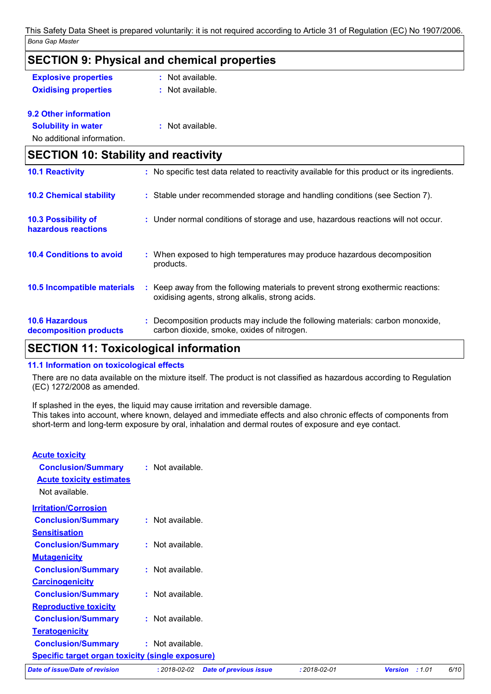| <b>SECTION 9: Physical and chemical properties</b> |                                                                                                                                         |  |  |
|----------------------------------------------------|-----------------------------------------------------------------------------------------------------------------------------------------|--|--|
| <b>Explosive properties</b>                        | : Not available.                                                                                                                        |  |  |
| <b>Oxidising properties</b>                        | : Not available.                                                                                                                        |  |  |
| 9.2 Other information                              |                                                                                                                                         |  |  |
| <b>Solubility in water</b>                         | : Not available.                                                                                                                        |  |  |
| No additional information.                         |                                                                                                                                         |  |  |
| <b>SECTION 10: Stability and reactivity</b>        |                                                                                                                                         |  |  |
| <b>10.1 Reactivity</b>                             | : No specific test data related to reactivity available for this product or its ingredients.                                            |  |  |
| <b>10.2 Chemical stability</b>                     | : Stable under recommended storage and handling conditions (see Section 7).                                                             |  |  |
| <b>10.3 Possibility of</b><br>hazardous reactions  | : Under normal conditions of storage and use, hazardous reactions will not occur.                                                       |  |  |
| <b>10.4 Conditions to avoid</b>                    | : When exposed to high temperatures may produce hazardous decomposition<br>products.                                                    |  |  |
| 10.5 Incompatible materials                        | Keep away from the following materials to prevent strong exothermic reactions:<br>÷.<br>oxidising agents, strong alkalis, strong acids. |  |  |
| <b>10.6 Hazardous</b><br>decomposition products    | Decomposition products may include the following materials: carbon monoxide,<br>carbon dioxide, smoke, oxides of nitrogen.              |  |  |
| ---------                                          | $\mathbf{r}$ , $\mathbf{r}$ , $\mathbf{r}$                                                                                              |  |  |

### **SECTION 11: Toxicological information**

#### **11.1 Information on toxicological effects**

There are no data available on the mixture itself. The product is not classified as hazardous according to Regulation (EC) 1272/2008 as amended.

If splashed in the eyes, the liquid may cause irritation and reversible damage. This takes into account, where known, delayed and immediate effects and also chronic effects of components from short-term and long-term exposure by oral, inhalation and dermal routes of exposure and eye contact.

| <b>Acute toxicity</b>                                   |                                                     |                    |                |      |
|---------------------------------------------------------|-----------------------------------------------------|--------------------|----------------|------|
| <b>Conclusion/Summary</b>                               | : Not available.                                    |                    |                |      |
| <b>Acute toxicity estimates</b>                         |                                                     |                    |                |      |
| Not available.                                          |                                                     |                    |                |      |
| <b>Irritation/Corrosion</b>                             |                                                     |                    |                |      |
| <b>Conclusion/Summary</b>                               | : Not available.                                    |                    |                |      |
| <b>Sensitisation</b>                                    |                                                     |                    |                |      |
| <b>Conclusion/Summary</b>                               | $:$ Not available.                                  |                    |                |      |
| <b>Mutagenicity</b>                                     |                                                     |                    |                |      |
| <b>Conclusion/Summary</b>                               | $:$ Not available.                                  |                    |                |      |
| <b>Carcinogenicity</b>                                  |                                                     |                    |                |      |
| <b>Conclusion/Summary</b>                               | : Not available.                                    |                    |                |      |
| <b>Reproductive toxicity</b>                            |                                                     |                    |                |      |
| <b>Conclusion/Summary</b>                               | : Not available.                                    |                    |                |      |
| <b>Teratogenicity</b>                                   |                                                     |                    |                |      |
| <b>Conclusion/Summary</b>                               | : Not available.                                    |                    |                |      |
| <b>Specific target organ toxicity (single exposure)</b> |                                                     |                    |                |      |
| Date of issue/Date of revision                          | $: 2018 - 02 - 02$<br><b>Date of previous issue</b> | $: 2018 - 02 - 01$ | Version : 1.01 | 6/10 |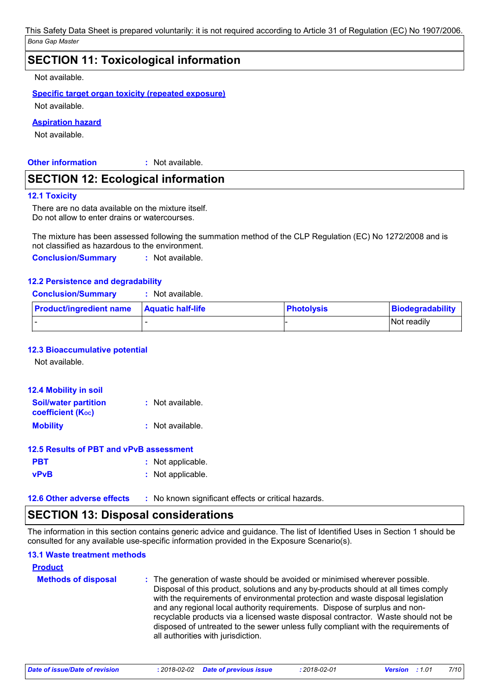*Bona Gap Master* This Safety Data Sheet is prepared voluntarily: it is not required according to Article 31 of Regulation (EC) No 1907/2006.

### **SECTION 11: Toxicological information**

#### Not available.

**Specific target organ toxicity (repeated exposure)**

Not available.

#### **Aspiration hazard**

Not available.

**Other information :**

: Not available.

# **SECTION 12: Ecological information**

#### **12.1 Toxicity**

There are no data available on the mixture itself. Do not allow to enter drains or watercourses.

The mixture has been assessed following the summation method of the CLP Regulation (EC) No 1272/2008 and is not classified as hazardous to the environment.

**Conclusion/Summary :** Not available.

#### **12.2 Persistence and degradability**

#### **Conclusion/Summary :** Not available.

| <b>Product/ingredient name</b> Aquatic half-life | <b>Photolysis</b> | Biodegradability |
|--------------------------------------------------|-------------------|------------------|
| . .                                              |                   | Not readily      |

#### **12.3 Bioaccumulative potential**

Not available.

#### **12.4 Mobility in soil**

| <b>Soil/water partition</b><br>coefficient $(K_{oc})$ | : Not available. |
|-------------------------------------------------------|------------------|
| <b>Mobility</b>                                       | : Not available. |

#### **12.5 Results of PBT and vPvB assessment**

| <b>PBT</b>  | : Not applicable. |
|-------------|-------------------|
| <b>vPvB</b> | : Not applicable. |

**12.6 Other adverse effects** : No known significant effects or critical hazards.

# **SECTION 13: Disposal considerations**

The information in this section contains generic advice and guidance. The list of Identified Uses in Section 1 should be consulted for any available use-specific information provided in the Exposure Scenario(s).

#### **13.1 Waste treatment methods**

| <b>Product</b>             |                                                                                                                                                                                                                                                                                                                                                                                                                                                                                                                                                      |
|----------------------------|------------------------------------------------------------------------------------------------------------------------------------------------------------------------------------------------------------------------------------------------------------------------------------------------------------------------------------------------------------------------------------------------------------------------------------------------------------------------------------------------------------------------------------------------------|
| <b>Methods of disposal</b> | : The generation of waste should be avoided or minimised wherever possible.<br>Disposal of this product, solutions and any by-products should at all times comply<br>with the requirements of environmental protection and waste disposal legislation<br>and any regional local authority requirements. Dispose of surplus and non-<br>recyclable products via a licensed waste disposal contractor. Waste should not be<br>disposed of untreated to the sewer unless fully compliant with the requirements of<br>all authorities with jurisdiction. |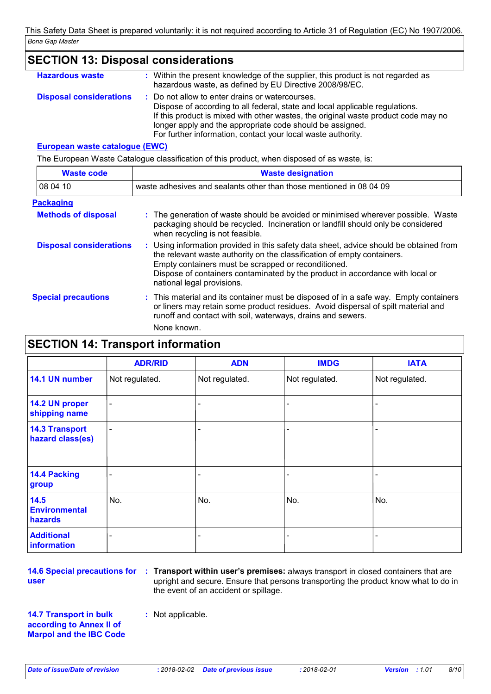| <b>Hazardous waste</b>         | : Within the present knowledge of the supplier, this product is not regarded as<br>hazardous waste, as defined by EU Directive 2008/98/EC.                                                                                                                                                                                                         |
|--------------------------------|----------------------------------------------------------------------------------------------------------------------------------------------------------------------------------------------------------------------------------------------------------------------------------------------------------------------------------------------------|
| <b>Disposal considerations</b> | : Do not allow to enter drains or watercourses.<br>Dispose of according to all federal, state and local applicable regulations.<br>If this product is mixed with other wastes, the original waste product code may no<br>longer apply and the appropriate code should be assigned.<br>For further information, contact your local waste authority. |
| European waste catalogue (EWC) |                                                                                                                                                                                                                                                                                                                                                    |
|                                | The European Waste Catalogue classification of this product, when disposed of as waste, is:                                                                                                                                                                                                                                                        |
| <b>Waste code</b>              | <b>Waste designation</b>                                                                                                                                                                                                                                                                                                                           |
| 08 04 10                       | waste adhesives and sealants other than those mentioned in 08 04 09                                                                                                                                                                                                                                                                                |
| <b>Packaging</b>               |                                                                                                                                                                                                                                                                                                                                                    |
| <b>Methods of disposal</b>     | : The generation of waste should be avoided or minimised wherever possible. Waste<br>packaging should be recycled. Incineration or landfill should only be considered                                                                                                                                                                              |

#### **Special precautions :** when recycling is not feasible. This material and its container must be disposed of in a safe way. Empty containers or liners may retain some product residues. Avoid dispersal of spilt material and runoff and contact with soil, waterways, drains and sewers. **Disposal considerations :** Using information provided in this safety data sheet, advice should be obtained from the relevant waste authority on the classification of empty containers. Empty containers must be scrapped or reconditioned. Dispose of containers contaminated by the product in accordance with local or national legal provisions. None known.

# **SECTION 14: Transport information**

|                                           | <b>ADR/RID</b>  | <b>ADN</b>               | <b>IMDG</b>    | <b>IATA</b>    |
|-------------------------------------------|-----------------|--------------------------|----------------|----------------|
| 14.1 UN number                            | Not regulated.  | Not regulated.           | Not regulated. | Not regulated. |
| 14.2 UN proper<br>shipping name           | $\qquad \qquad$ | ۰                        |                |                |
| <b>14.3 Transport</b><br>hazard class(es) |                 | $\overline{\phantom{0}}$ |                |                |
| 14.4 Packing<br>group                     |                 |                          |                |                |
| 14.5<br><b>Environmental</b><br>hazards   | No.             | No.                      | No.            | No.            |
| <b>Additional</b><br>information          |                 |                          |                |                |

**user**

**14.6 Special precautions for : Transport within user's premises:** always transport in closed containers that are upright and secure. Ensure that persons transporting the product know what to do in the event of an accident or spillage.

**14.7 Transport in bulk according to Annex II of Marpol and the IBC Code** **:** Not applicable.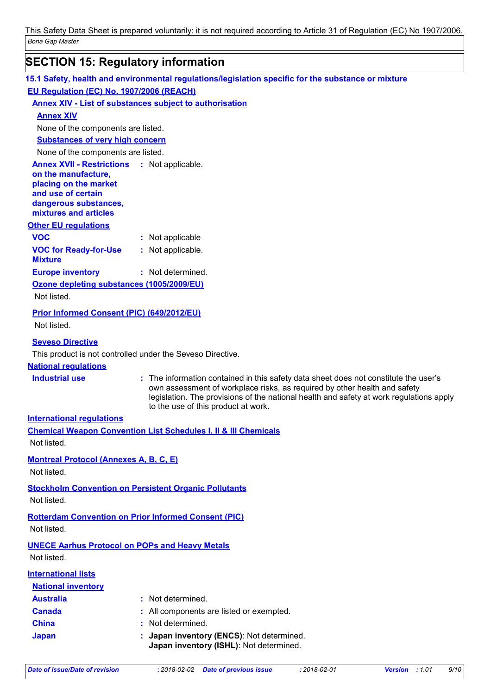# **SECTION 15: Regulatory information**

| EU Requlation (EC) No. 1907/2006 (REACH)<br><b>Annex XIV - List of substances subject to authorisation</b><br><b>Annex XIV</b><br>None of the components are listed.<br><b>Substances of very high concern</b><br>None of the components are listed.<br><b>Annex XVII - Restrictions : Not applicable.</b><br>on the manufacture,<br>placing on the market<br>and use of certain<br>dangerous substances,<br>mixtures and articles<br><b>Other EU regulations</b><br><b>VOC</b><br>: Not applicable<br><b>VOC for Ready-for-Use</b><br>: Not applicable.<br><b>Mixture</b><br>: Not determined.<br><b>Europe inventory</b><br>Ozone depleting substances (1005/2009/EU)<br>Not listed.<br><b>Prior Informed Consent (PIC) (649/2012/EU)</b><br>Not listed.<br><b>Seveso Directive</b><br>This product is not controlled under the Seveso Directive.<br><b>National requlations</b><br><b>Industrial use</b><br>: The information contained in this safety data sheet does not constitute the user's<br>own assessment of workplace risks, as required by other health and safety<br>legislation. The provisions of the national health and safety at work regulations apply<br>to the use of this product at work.<br><b>International requlations</b><br><b>Chemical Weapon Convention List Schedules I, II &amp; III Chemicals</b><br>Not listed.<br><b>Montreal Protocol (Annexes A, B, C, E)</b><br>Not listed.<br><b>Stockholm Convention on Persistent Organic Pollutants</b><br>Not listed.<br><b>Rotterdam Convention on Prior Informed Consent (PIC)</b><br>Not listed.<br><b>UNECE Aarhus Protocol on POPs and Heavy Metals</b><br>Not listed.<br><b>International lists</b><br><b>National inventory</b><br><b>Australia</b><br>: Not determined.<br><b>Canada</b><br>All components are listed or exempted.<br>Not determined.<br><b>China</b><br>Japan inventory (ENCS): Not determined.<br><b>Japan</b> | 15.1 Safety, health and environmental regulations/legislation specific for the substance or mixture |
|-----------------------------------------------------------------------------------------------------------------------------------------------------------------------------------------------------------------------------------------------------------------------------------------------------------------------------------------------------------------------------------------------------------------------------------------------------------------------------------------------------------------------------------------------------------------------------------------------------------------------------------------------------------------------------------------------------------------------------------------------------------------------------------------------------------------------------------------------------------------------------------------------------------------------------------------------------------------------------------------------------------------------------------------------------------------------------------------------------------------------------------------------------------------------------------------------------------------------------------------------------------------------------------------------------------------------------------------------------------------------------------------------------------------------------------------------------------------------------------------------------------------------------------------------------------------------------------------------------------------------------------------------------------------------------------------------------------------------------------------------------------------------------------------------------------------------------------------------------------------------------------------------------------------------|-----------------------------------------------------------------------------------------------------|
|                                                                                                                                                                                                                                                                                                                                                                                                                                                                                                                                                                                                                                                                                                                                                                                                                                                                                                                                                                                                                                                                                                                                                                                                                                                                                                                                                                                                                                                                                                                                                                                                                                                                                                                                                                                                                                                                                                                       |                                                                                                     |
|                                                                                                                                                                                                                                                                                                                                                                                                                                                                                                                                                                                                                                                                                                                                                                                                                                                                                                                                                                                                                                                                                                                                                                                                                                                                                                                                                                                                                                                                                                                                                                                                                                                                                                                                                                                                                                                                                                                       |                                                                                                     |
|                                                                                                                                                                                                                                                                                                                                                                                                                                                                                                                                                                                                                                                                                                                                                                                                                                                                                                                                                                                                                                                                                                                                                                                                                                                                                                                                                                                                                                                                                                                                                                                                                                                                                                                                                                                                                                                                                                                       |                                                                                                     |
|                                                                                                                                                                                                                                                                                                                                                                                                                                                                                                                                                                                                                                                                                                                                                                                                                                                                                                                                                                                                                                                                                                                                                                                                                                                                                                                                                                                                                                                                                                                                                                                                                                                                                                                                                                                                                                                                                                                       |                                                                                                     |
|                                                                                                                                                                                                                                                                                                                                                                                                                                                                                                                                                                                                                                                                                                                                                                                                                                                                                                                                                                                                                                                                                                                                                                                                                                                                                                                                                                                                                                                                                                                                                                                                                                                                                                                                                                                                                                                                                                                       |                                                                                                     |
|                                                                                                                                                                                                                                                                                                                                                                                                                                                                                                                                                                                                                                                                                                                                                                                                                                                                                                                                                                                                                                                                                                                                                                                                                                                                                                                                                                                                                                                                                                                                                                                                                                                                                                                                                                                                                                                                                                                       |                                                                                                     |
|                                                                                                                                                                                                                                                                                                                                                                                                                                                                                                                                                                                                                                                                                                                                                                                                                                                                                                                                                                                                                                                                                                                                                                                                                                                                                                                                                                                                                                                                                                                                                                                                                                                                                                                                                                                                                                                                                                                       |                                                                                                     |
|                                                                                                                                                                                                                                                                                                                                                                                                                                                                                                                                                                                                                                                                                                                                                                                                                                                                                                                                                                                                                                                                                                                                                                                                                                                                                                                                                                                                                                                                                                                                                                                                                                                                                                                                                                                                                                                                                                                       |                                                                                                     |
|                                                                                                                                                                                                                                                                                                                                                                                                                                                                                                                                                                                                                                                                                                                                                                                                                                                                                                                                                                                                                                                                                                                                                                                                                                                                                                                                                                                                                                                                                                                                                                                                                                                                                                                                                                                                                                                                                                                       |                                                                                                     |
|                                                                                                                                                                                                                                                                                                                                                                                                                                                                                                                                                                                                                                                                                                                                                                                                                                                                                                                                                                                                                                                                                                                                                                                                                                                                                                                                                                                                                                                                                                                                                                                                                                                                                                                                                                                                                                                                                                                       |                                                                                                     |
|                                                                                                                                                                                                                                                                                                                                                                                                                                                                                                                                                                                                                                                                                                                                                                                                                                                                                                                                                                                                                                                                                                                                                                                                                                                                                                                                                                                                                                                                                                                                                                                                                                                                                                                                                                                                                                                                                                                       |                                                                                                     |
|                                                                                                                                                                                                                                                                                                                                                                                                                                                                                                                                                                                                                                                                                                                                                                                                                                                                                                                                                                                                                                                                                                                                                                                                                                                                                                                                                                                                                                                                                                                                                                                                                                                                                                                                                                                                                                                                                                                       |                                                                                                     |
|                                                                                                                                                                                                                                                                                                                                                                                                                                                                                                                                                                                                                                                                                                                                                                                                                                                                                                                                                                                                                                                                                                                                                                                                                                                                                                                                                                                                                                                                                                                                                                                                                                                                                                                                                                                                                                                                                                                       |                                                                                                     |
|                                                                                                                                                                                                                                                                                                                                                                                                                                                                                                                                                                                                                                                                                                                                                                                                                                                                                                                                                                                                                                                                                                                                                                                                                                                                                                                                                                                                                                                                                                                                                                                                                                                                                                                                                                                                                                                                                                                       |                                                                                                     |
|                                                                                                                                                                                                                                                                                                                                                                                                                                                                                                                                                                                                                                                                                                                                                                                                                                                                                                                                                                                                                                                                                                                                                                                                                                                                                                                                                                                                                                                                                                                                                                                                                                                                                                                                                                                                                                                                                                                       |                                                                                                     |
|                                                                                                                                                                                                                                                                                                                                                                                                                                                                                                                                                                                                                                                                                                                                                                                                                                                                                                                                                                                                                                                                                                                                                                                                                                                                                                                                                                                                                                                                                                                                                                                                                                                                                                                                                                                                                                                                                                                       |                                                                                                     |
|                                                                                                                                                                                                                                                                                                                                                                                                                                                                                                                                                                                                                                                                                                                                                                                                                                                                                                                                                                                                                                                                                                                                                                                                                                                                                                                                                                                                                                                                                                                                                                                                                                                                                                                                                                                                                                                                                                                       |                                                                                                     |
|                                                                                                                                                                                                                                                                                                                                                                                                                                                                                                                                                                                                                                                                                                                                                                                                                                                                                                                                                                                                                                                                                                                                                                                                                                                                                                                                                                                                                                                                                                                                                                                                                                                                                                                                                                                                                                                                                                                       |                                                                                                     |
|                                                                                                                                                                                                                                                                                                                                                                                                                                                                                                                                                                                                                                                                                                                                                                                                                                                                                                                                                                                                                                                                                                                                                                                                                                                                                                                                                                                                                                                                                                                                                                                                                                                                                                                                                                                                                                                                                                                       |                                                                                                     |
|                                                                                                                                                                                                                                                                                                                                                                                                                                                                                                                                                                                                                                                                                                                                                                                                                                                                                                                                                                                                                                                                                                                                                                                                                                                                                                                                                                                                                                                                                                                                                                                                                                                                                                                                                                                                                                                                                                                       |                                                                                                     |
|                                                                                                                                                                                                                                                                                                                                                                                                                                                                                                                                                                                                                                                                                                                                                                                                                                                                                                                                                                                                                                                                                                                                                                                                                                                                                                                                                                                                                                                                                                                                                                                                                                                                                                                                                                                                                                                                                                                       |                                                                                                     |
|                                                                                                                                                                                                                                                                                                                                                                                                                                                                                                                                                                                                                                                                                                                                                                                                                                                                                                                                                                                                                                                                                                                                                                                                                                                                                                                                                                                                                                                                                                                                                                                                                                                                                                                                                                                                                                                                                                                       |                                                                                                     |
|                                                                                                                                                                                                                                                                                                                                                                                                                                                                                                                                                                                                                                                                                                                                                                                                                                                                                                                                                                                                                                                                                                                                                                                                                                                                                                                                                                                                                                                                                                                                                                                                                                                                                                                                                                                                                                                                                                                       |                                                                                                     |
|                                                                                                                                                                                                                                                                                                                                                                                                                                                                                                                                                                                                                                                                                                                                                                                                                                                                                                                                                                                                                                                                                                                                                                                                                                                                                                                                                                                                                                                                                                                                                                                                                                                                                                                                                                                                                                                                                                                       |                                                                                                     |
|                                                                                                                                                                                                                                                                                                                                                                                                                                                                                                                                                                                                                                                                                                                                                                                                                                                                                                                                                                                                                                                                                                                                                                                                                                                                                                                                                                                                                                                                                                                                                                                                                                                                                                                                                                                                                                                                                                                       |                                                                                                     |
|                                                                                                                                                                                                                                                                                                                                                                                                                                                                                                                                                                                                                                                                                                                                                                                                                                                                                                                                                                                                                                                                                                                                                                                                                                                                                                                                                                                                                                                                                                                                                                                                                                                                                                                                                                                                                                                                                                                       |                                                                                                     |
|                                                                                                                                                                                                                                                                                                                                                                                                                                                                                                                                                                                                                                                                                                                                                                                                                                                                                                                                                                                                                                                                                                                                                                                                                                                                                                                                                                                                                                                                                                                                                                                                                                                                                                                                                                                                                                                                                                                       |                                                                                                     |
|                                                                                                                                                                                                                                                                                                                                                                                                                                                                                                                                                                                                                                                                                                                                                                                                                                                                                                                                                                                                                                                                                                                                                                                                                                                                                                                                                                                                                                                                                                                                                                                                                                                                                                                                                                                                                                                                                                                       |                                                                                                     |
|                                                                                                                                                                                                                                                                                                                                                                                                                                                                                                                                                                                                                                                                                                                                                                                                                                                                                                                                                                                                                                                                                                                                                                                                                                                                                                                                                                                                                                                                                                                                                                                                                                                                                                                                                                                                                                                                                                                       |                                                                                                     |
|                                                                                                                                                                                                                                                                                                                                                                                                                                                                                                                                                                                                                                                                                                                                                                                                                                                                                                                                                                                                                                                                                                                                                                                                                                                                                                                                                                                                                                                                                                                                                                                                                                                                                                                                                                                                                                                                                                                       |                                                                                                     |
|                                                                                                                                                                                                                                                                                                                                                                                                                                                                                                                                                                                                                                                                                                                                                                                                                                                                                                                                                                                                                                                                                                                                                                                                                                                                                                                                                                                                                                                                                                                                                                                                                                                                                                                                                                                                                                                                                                                       |                                                                                                     |
|                                                                                                                                                                                                                                                                                                                                                                                                                                                                                                                                                                                                                                                                                                                                                                                                                                                                                                                                                                                                                                                                                                                                                                                                                                                                                                                                                                                                                                                                                                                                                                                                                                                                                                                                                                                                                                                                                                                       |                                                                                                     |
|                                                                                                                                                                                                                                                                                                                                                                                                                                                                                                                                                                                                                                                                                                                                                                                                                                                                                                                                                                                                                                                                                                                                                                                                                                                                                                                                                                                                                                                                                                                                                                                                                                                                                                                                                                                                                                                                                                                       |                                                                                                     |
|                                                                                                                                                                                                                                                                                                                                                                                                                                                                                                                                                                                                                                                                                                                                                                                                                                                                                                                                                                                                                                                                                                                                                                                                                                                                                                                                                                                                                                                                                                                                                                                                                                                                                                                                                                                                                                                                                                                       |                                                                                                     |
|                                                                                                                                                                                                                                                                                                                                                                                                                                                                                                                                                                                                                                                                                                                                                                                                                                                                                                                                                                                                                                                                                                                                                                                                                                                                                                                                                                                                                                                                                                                                                                                                                                                                                                                                                                                                                                                                                                                       | Japan inventory (ISHL): Not determined.                                                             |